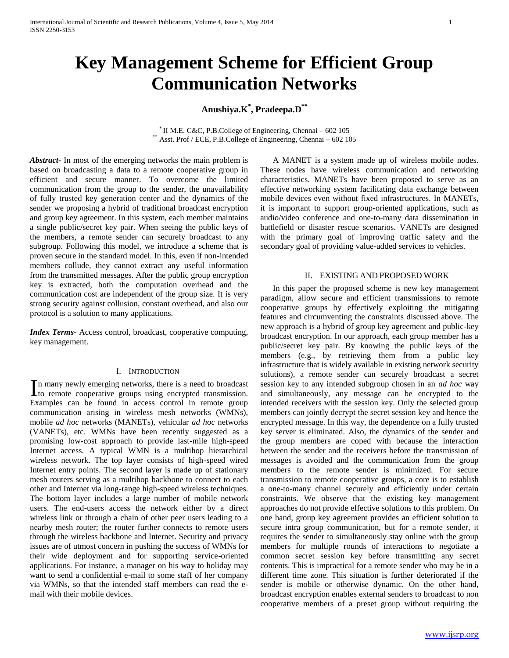# **Key Management Scheme for Efficient Group Communication Networks**

## **Anushiya.K\* , Pradeepa.D\*\***

\* II M.E. C&C, P.B.College of Engineering, Chennai – 602 105 \*\* Asst. Prof / ECE, P.B.College of Engineering, Chennai – 602 105

*Abstract***-** In most of the emerging networks the main problem is based on broadcasting a data to a remote cooperative group in efficient and secure manner. To overcome the limited communication from the group to the sender, the unavailability of fully trusted key generation center and the dynamics of the sender we proposing a hybrid of traditional broadcast encryption and group key agreement. In this system, each member maintains a single public/secret key pair. When seeing the public keys of the members, a remote sender can securely broadcast to any subgroup. Following this model, we introduce a scheme that is proven secure in the standard model. In this, even if non-intended members collude, they cannot extract any useful information from the transmitted messages. After the public group encryption key is extracted, both the computation overhead and the communication cost are independent of the group size. It is very strong security against collusion, constant overhead, and also our protocol is a solution to many applications.

*Index Terms*- Access control, broadcast, cooperative computing, key management.

## I. INTRODUCTION

n many newly emerging networks, there is a need to broadcast In many newly emerging networks, there is a need to broadcast<br>to remote cooperative groups using encrypted transmission. Examples can be found in access control in remote group communication arising in wireless mesh networks (WMNs), mobile *ad hoc* networks (MANETs), vehicular *ad hoc* networks (VANETs), etc. WMNs have been recently suggested as a promising low-cost approach to provide last-mile high-speed Internet access. A typical WMN is a multihop hierarchical wireless network. The top layer consists of high-speed wired Internet entry points. The second layer is made up of stationary mesh routers serving as a multihop backbone to connect to each other and Internet via long-range high-speed wireless techniques. The bottom layer includes a large number of mobile network users. The end-users access the network either by a direct wireless link or through a chain of other peer users leading to a nearby mesh router; the router further connects to remote users through the wireless backbone and Internet. Security and privacy issues are of utmost concern in pushing the success of WMNs for their wide deployment and for supporting service-oriented applications. For instance, a manager on his way to holiday may want to send a confidential e-mail to some staff of her company via WMNs, so that the intended staff members can read the email with their mobile devices.

 A MANET is a system made up of wireless mobile nodes. These nodes have wireless communication and networking characteristics. MANETs have been proposed to serve as an effective networking system facilitating data exchange between mobile devices even without fixed infrastructures. In MANETs, it is important to support group-oriented applications, such as audio/video conference and one-to-many data dissemination in battlefield or disaster rescue scenarios. VANETs are designed with the primary goal of improving traffic safety and the secondary goal of providing value-added services to vehicles.

#### II. EXISTING AND PROPOSED WORK

 In this paper the proposed scheme is new key management paradigm, allow secure and efficient transmissions to remote cooperative groups by effectively exploiting the mitigating features and circumventing the constraints discussed above. The new approach is a hybrid of group key agreement and public-key broadcast encryption. In our approach, each group member has a public/secret key pair. By knowing the public keys of the members (e.g., by retrieving them from a public key infrastructure that is widely available in existing network security solutions), a remote sender can securely broadcast a secret session key to any intended subgroup chosen in an *ad hoc* way and simultaneously, any message can be encrypted to the intended receivers with the session key. Only the selected group members can jointly decrypt the secret session key and hence the encrypted message. In this way, the dependence on a fully trusted key server is eliminated. Also, the dynamics of the sender and the group members are coped with because the interaction between the sender and the receivers before the transmission of messages is avoided and the communication from the group members to the remote sender is minimized. For secure transmission to remote cooperative groups, a core is to establish a one-to-many channel securely and efficiently under certain constraints. We observe that the existing key management approaches do not provide effective solutions to this problem. On one hand, group key agreement provides an efficient solution to secure intra group communication, but for a remote sender, it requires the sender to simultaneously stay online with the group members for multiple rounds of interactions to negotiate a common secret session key before transmitting any secret contents. This is impractical for a remote sender who may be in a different time zone. This situation is further deteriorated if the sender is mobile or otherwise dynamic. On the other hand, broadcast encryption enables external senders to broadcast to non cooperative members of a preset group without requiring the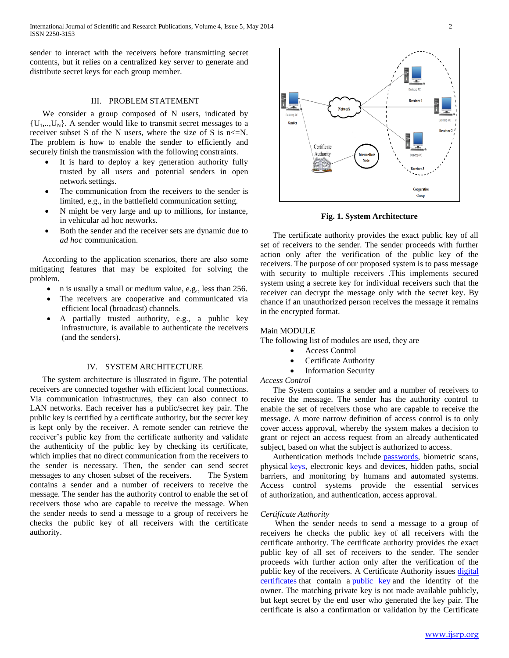International Journal of Scientific and Research Publications, Volume 4, Issue 5, May 2014 2 ISSN 2250-3153

sender to interact with the receivers before transmitting secret contents, but it relies on a centralized key server to generate and distribute secret keys for each group member.

## III. PROBLEM STATEMENT

 We consider a group composed of N users, indicated by  ${U_1,...,U_N}$ . A sender would like to transmit secret messages to a receiver subset S of the N users, where the size of S is  $n \le N$ . The problem is how to enable the sender to efficiently and securely finish the transmission with the following constraints.

- It is hard to deploy a key generation authority fully trusted by all users and potential senders in open network settings.
- The communication from the receivers to the sender is limited, e.g., in the battlefield communication setting.
- N might be very large and up to millions, for instance, in vehicular ad hoc networks.
- Both the sender and the receiver sets are dynamic due to *ad hoc* communication.

 According to the application scenarios, there are also some mitigating features that may be exploited for solving the problem.

- n is usually a small or medium value, e.g., less than 256.
- The receivers are cooperative and communicated via efficient local (broadcast) channels.
- A partially trusted authority, e.g., a public key infrastructure, is available to authenticate the receivers (and the senders).

## IV. SYSTEM ARCHITECTURE

 The system architecture is illustrated in figure. The potential receivers are connected together with efficient local connections. Via communication infrastructures, they can also connect to LAN networks. Each receiver has a public/secret key pair. The public key is certified by a certificate authority, but the secret key is kept only by the receiver. A remote sender can retrieve the receiver's public key from the certificate authority and validate the authenticity of the public key by checking its certificate, which implies that no direct communication from the receivers to the sender is necessary. Then, the sender can send secret messages to any chosen subset of the receivers. The System contains a sender and a number of receivers to receive the message. The sender has the authority control to enable the set of receivers those who are capable to receive the message. When the sender needs to send a message to a group of receivers he checks the public key of all receivers with the certificate authority.



**Fig. 1. System Architecture**

 The certificate authority provides the exact public key of all set of receivers to the sender. The sender proceeds with further action only after the verification of the public key of the receivers. The purpose of our proposed system is to pass message with security to multiple receivers .This implements secured system using a secrete key for individual receivers such that the receiver can decrypt the message only with the secret key. By chance if an unauthorized person receives the message it remains in the encrypted format.

## Main MODULE

The following list of modules are used, they are

- Access Control
- Certificate Authority
- Information Security

*Access Control*

 The System contains a sender and a number of receivers to receive the message. The sender has the authority control to enable the set of receivers those who are capable to receive the message. A more narrow definition of access control is to only cover access approval, whereby the system makes a decision to grant or reject an access request from an already authenticated subject, based on what the subject is authorized to access.

Authentication methods include [passwords,](http://en.wikipedia.org/wiki/Password) biometric scans, physical [keys,](http://en.wikipedia.org/wiki/Lock_(device)) electronic keys and devices, hidden paths, social barriers, and monitoring by humans and automated systems. Access control systems provide the essential services of authorization, and authentication, access approval.

#### *Certificate Authority*

 When the sender needs to send a message to a group of receivers he checks the public key of all receivers with the certificate authority. The certificate authority provides the exact public key of all set of receivers to the sender. The sender proceeds with further action only after the verification of the public key of the receivers. A Certificate Authority issues [digital](http://en.wikipedia.org/wiki/Digital_certificate)  [certificates](http://en.wikipedia.org/wiki/Digital_certificate) that contain a [public key](http://en.wikipedia.org/wiki/Public_key) and the identity of the owner. The matching private key is not made available publicly, but kept secret by the end user who generated the key pair. The certificate is also a confirmation or validation by the Certificate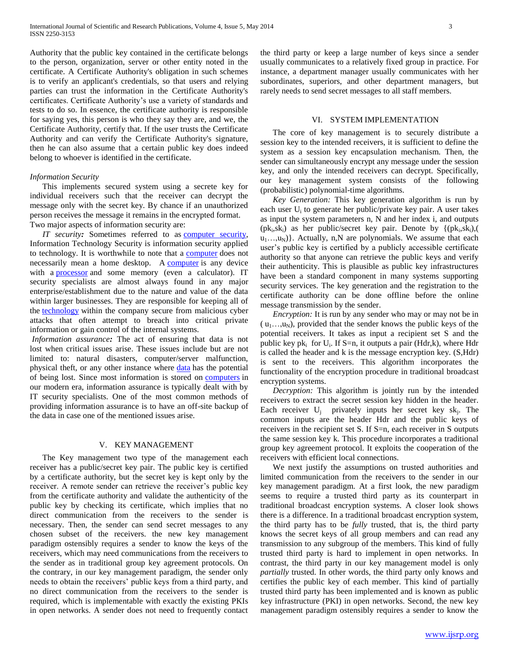Authority that the public key contained in the certificate belongs to the person, organization, server or other entity noted in the certificate. A Certificate Authority's obligation in such schemes is to verify an applicant's credentials, so that users and relying parties can trust the information in the Certificate Authority's certificates. Certificate Authority's use a variety of standards and tests to do so. In essence, the certificate authority is responsible for saying yes, this person is who they say they are, and we, the Certificate Authority, certify that. If the user trusts the Certificate Authority and can verify the Certificate Authority's signature, then he can also assume that a certain public key does indeed belong to whoever is identified in the certificate.

## *Information Security*

 This implements secured system using a secrete key for individual receivers such that the receiver can decrypt the message only with the secret key. By chance if an unauthorized person receives the message it remains in the encrypted format. Two major aspects of information security are:

 *IT security:* Sometimes referred to as [computer security,](http://en.wikipedia.org/wiki/Computer_security)  Information Technology Security is information security applied to technology. It is worthwhile to note that a [computer](http://en.wikipedia.org/wiki/Computer) does not necessarily mean a home desktop. A [computer](http://en.wikipedia.org/wiki/Computer) is any device with a **[processor](http://en.wikipedia.org/wiki/Central_processing_unit)** and some memory (even a calculator). IT security specialists are almost always found in any major enterprise/establishment due to the nature and value of the data within larger businesses. They are responsible for keeping all of the [technology](http://en.wikipedia.org/wiki/Technology) within the company secure from malicious cyber attacks that often attempt to breach into critical private information or gain control of the internal systems.

*Information assurance:* The act of ensuring that data is not lost when critical issues arise. These issues include but are not limited to: natural disasters, computer/server malfunction, physical theft, or any other instance where [data](http://en.wikipedia.org/wiki/Data) has the potential of being lost. Since most information is stored on [computers](http://en.wikipedia.org/wiki/Computers) in our modern era, information assurance is typically dealt with by IT security specialists. One of the most common methods of providing information assurance is to have an off-site backup of the data in case one of the mentioned issues arise.

## V. KEY MANAGEMENT

 The Key management two type of the management each receiver has a public/secret key pair. The public key is certified by a certificate authority, but the secret key is kept only by the receiver. A remote sender can retrieve the receiver's public key from the certificate authority and validate the authenticity of the public key by checking its certificate, which implies that no direct communication from the receivers to the sender is necessary. Then, the sender can send secret messages to any chosen subset of the receivers. the new key management paradigm ostensibly requires a sender to know the keys of the receivers, which may need communications from the receivers to the sender as in traditional group key agreement protocols. On the contrary, in our key management paradigm, the sender only needs to obtain the receivers' public keys from a third party, and no direct communication from the receivers to the sender is required, which is implementable with exactly the existing PKIs in open networks. A sender does not need to frequently contact

the third party or keep a large number of keys since a sender usually communicates to a relatively fixed group in practice. For instance, a department manager usually communicates with her subordinates, superiors, and other department managers, but rarely needs to send secret messages to all staff members.

## VI. SYSTEM IMPLEMENTATION

 The core of key management is to securely distribute a session key to the intended receivers, it is sufficient to define the system as a session key encapsulation mechanism. Then, the sender can simultaneously encrypt any message under the session key, and only the intended receivers can decrypt. Specifically, our key management system consists of the following (probabilistic) polynomial-time algorithms.

 *Key Generation:* This key generation algorithm is run by each user U<sub>i</sub> to generate her public/private key pair. A user takes as input the system parameters n, N and her index i, and outputs  $(pk_i, sk_i)$  as her public/secret key pair. Denote by  $\{(pk_i, sk_i), (p_i, sk_i)\}$  $u_1...u_N$ }. Actually, n,N are polynomials. We assume that each user's public key is certified by a publicly accessible certificate authority so that anyone can retrieve the public keys and verify their authenticity. This is plausible as public key infrastructures have been a standard component in many systems supporting security services. The key generation and the registration to the certificate authority can be done offline before the online message transmission by the sender.

*Encryption:* It is run by any sender who may or may not be in  $(u_1...u_N)$ , provided that the sender knows the public keys of the potential receivers. It takes as input a recipient set S and the public key  $pk_i$  for  $U_i$ . If S=n, it outputs a pair (Hdr,k), where Hdr is called the header and k is the message encryption key. (S,Hdr) is sent to the receivers. This algorithm incorporates the functionality of the encryption procedure in traditional broadcast encryption systems.

 *Decryption:* This algorithm is jointly run by the intended receivers to extract the secret session key hidden in the header. Each receiver  $U_i$  privately inputs her secret key sk<sub>i</sub>. The common inputs are the header Hdr and the public keys of receivers in the recipient set S. If S=n, each receiver in S outputs the same session key k. This procedure incorporates a traditional group key agreement protocol. It exploits the cooperation of the receivers with efficient local connections.

 We next justify the assumptions on trusted authorities and limited communication from the receivers to the sender in our key management paradigm. At a first look, the new paradigm seems to require a trusted third party as its counterpart in traditional broadcast encryption systems. A closer look shows there is a difference. In a traditional broadcast encryption system, the third party has to be *fully* trusted, that is, the third party knows the secret keys of all group members and can read any transmission to any subgroup of the members. This kind of fully trusted third party is hard to implement in open networks. In contrast, the third party in our key management model is only *partially* trusted. In other words, the third party only knows and certifies the public key of each member. This kind of partially trusted third party has been implemented and is known as public key infrastructure (PKI) in open networks. Second, the new key management paradigm ostensibly requires a sender to know the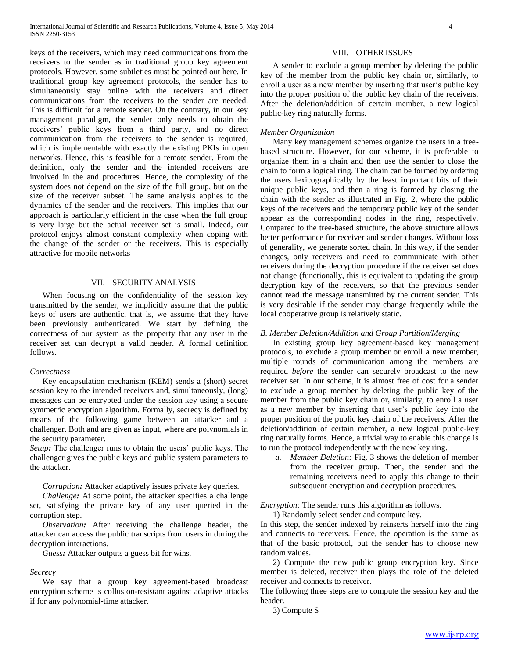keys of the receivers, which may need communications from the receivers to the sender as in traditional group key agreement protocols. However, some subtleties must be pointed out here. In traditional group key agreement protocols, the sender has to simultaneously stay online with the receivers and direct communications from the receivers to the sender are needed. This is difficult for a remote sender. On the contrary, in our key management paradigm, the sender only needs to obtain the receivers' public keys from a third party, and no direct communication from the receivers to the sender is required, which is implementable with exactly the existing PKIs in open networks. Hence, this is feasible for a remote sender. From the definition, only the sender and the intended receivers are involved in the and procedures. Hence, the complexity of the system does not depend on the size of the full group, but on the size of the receiver subset. The same analysis applies to the dynamics of the sender and the receivers. This implies that our approach is particularly efficient in the case when the full group is very large but the actual receiver set is small. Indeed, our protocol enjoys almost constant complexity when coping with the change of the sender or the receivers. This is especially attractive for mobile networks

## VII. SECURITY ANALYSIS

 When focusing on the confidentiality of the session key transmitted by the sender, we implicitly assume that the public keys of users are authentic, that is, we assume that they have been previously authenticated. We start by defining the correctness of our system as the property that any user in the receiver set can decrypt a valid header. A formal definition follows.

#### *Correctness*

 Key encapsulation mechanism (KEM) sends a (short) secret session key to the intended receivers and, simultaneously, (long) messages can be encrypted under the session key using a secure symmetric encryption algorithm. Formally, secrecy is defined by means of the following game between an attacker and a challenger. Both and are given as input, where are polynomials in the security parameter.

*Setup:* The challenger runs to obtain the users' public keys. The challenger gives the public keys and public system parameters to the attacker.

## *Corruption:* Attacker adaptively issues private key queries.

*Challenge*: At some point, the attacker specifies a challenge set, satisfying the private key of any user queried in the corruption step.

 *Observation:* After receiving the challenge header, the attacker can access the public transcripts from users in during the decryption interactions.

*Guess:* Attacker outputs a guess bit for wins.

## *Secrecy*

 We say that a group key agreement-based broadcast encryption scheme is collusion-resistant against adaptive attacks if for any polynomial-time attacker.

## VIII. OTHER ISSUES

 A sender to exclude a group member by deleting the public key of the member from the public key chain or, similarly, to enroll a user as a new member by inserting that user's public key into the proper position of the public key chain of the receivers. After the deletion/addition of certain member, a new logical public-key ring naturally forms.

## *Member Organization*

 Many key management schemes organize the users in a treebased structure. However, for our scheme, it is preferable to organize them in a chain and then use the sender to close the chain to form a logical ring. The chain can be formed by ordering the users lexicographically by the least important bits of their unique public keys, and then a ring is formed by closing the chain with the sender as illustrated in Fig. 2, where the public keys of the receivers and the temporary public key of the sender appear as the corresponding nodes in the ring, respectively. Compared to the tree-based structure, the above structure allows better performance for receiver and sender changes. Without loss of generality, we generate sorted chain. In this way, if the sender changes, only receivers and need to communicate with other receivers during the decryption procedure if the receiver set does not change (functionally, this is equivalent to updating the group decryption key of the receivers, so that the previous sender cannot read the message transmitted by the current sender. This is very desirable if the sender may change frequently while the local cooperative group is relatively static.

## *B. Member Deletion/Addition and Group Partition/Merging*

 In existing group key agreement-based key management protocols, to exclude a group member or enroll a new member, multiple rounds of communication among the members are required *before* the sender can securely broadcast to the new receiver set. In our scheme, it is almost free of cost for a sender to exclude a group member by deleting the public key of the member from the public key chain or, similarly, to enroll a user as a new member by inserting that user's public key into the proper position of the public key chain of the receivers. After the deletion/addition of certain member, a new logical public-key ring naturally forms. Hence, a trivial way to enable this change is to run the protocol independently with the new key ring.

*a. Member Deletion:* Fig. 3 shows the deletion of member from the receiver group. Then, the sender and the remaining receivers need to apply this change to their subsequent encryption and decryption procedures.

*Encryption:* The sender runs this algorithm as follows.

1) Randomly select sender and compute key.

In this step, the sender indexed by reinserts herself into the ring and connects to receivers. Hence, the operation is the same as that of the basic protocol, but the sender has to choose new random values.

 2) Compute the new public group encryption key. Since member is deleted, receiver then plays the role of the deleted receiver and connects to receiver.

The following three steps are to compute the session key and the header.

3) Compute S